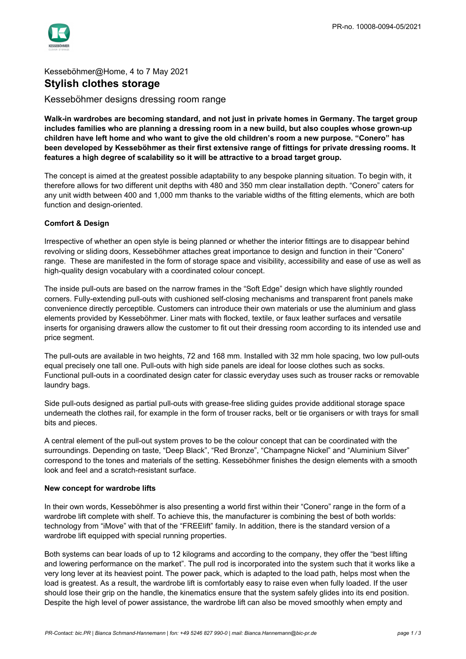

## Kesseböhmer@Home, 4 to 7 May 2021 **Stylish clothes storage**

### Kesseböhmer designs dressing room range

**Walk-in wardrobes are becoming standard, and not just in private homes in Germany. The target group includes families who are planning a dressing room in a new build, but also couples whose grown-up children have left home and who want to give the old children's room a new purpose. "Conero" has been developed by Kesseböhmer as their first extensive range of fittings for private dressing rooms. It features a high degree of scalability so it will be attractive to a broad target group.**

The concept is aimed at the greatest possible adaptability to any bespoke planning situation. To begin with, it therefore allows for two different unit depths with 480 and 350 mm clear installation depth. "Conero" caters for any unit width between 400 and 1,000 mm thanks to the variable widths of the fitting elements, which are both function and design-oriented.

#### **Comfort & Design**

Irrespective of whether an open style is being planned or whether the interior fittings are to disappear behind revolving or sliding doors, Kesseböhmer attaches great importance to design and function in their "Conero" range. These are manifested in the form of storage space and visibility, accessibility and ease of use as well as high-quality design vocabulary with a coordinated colour concept.

The inside pull-outs are based on the narrow frames in the "Soft Edge" design which have slightly rounded corners. Fully-extending pull-outs with cushioned self-closing mechanisms and transparent front panels make convenience directly perceptible. Customers can introduce their own materials or use the aluminium and glass elements provided by Kesseböhmer. Liner mats with flocked, textile, or faux leather surfaces and versatile inserts for organising drawers allow the customer to fit out their dressing room according to its intended use and price segment.

The pull-outs are available in two heights, 72 and 168 mm. Installed with 32 mm hole spacing, two low pull-outs equal precisely one tall one. Pull-outs with high side panels are ideal for loose clothes such as socks. Functional pull-outs in a coordinated design cater for classic everyday uses such as trouser racks or removable laundry bags.

Side pull-outs designed as partial pull-outs with grease-free sliding guides provide additional storage space underneath the clothes rail, for example in the form of trouser racks, belt or tie organisers or with trays for small bits and pieces.

A central element of the pull-out system proves to be the colour concept that can be coordinated with the surroundings. Depending on taste, "Deep Black", "Red Bronze", "Champagne Nickel" and "Aluminium Silver" correspond to the tones and materials of the setting. Kesseböhmer finishes the design elements with a smooth look and feel and a scratch-resistant surface.

#### **New concept for wardrobe lifts**

In their own words, Kesseböhmer is also presenting a world first within their "Conero" range in the form of a wardrobe lift complete with shelf. To achieve this, the manufacturer is combining the best of both worlds: technology from "iMove" with that of the "FREElift" family. In addition, there is the standard version of a wardrobe lift equipped with special running properties.

Both systems can bear loads of up to 12 kilograms and according to the company, they offer the "best lifting and lowering performance on the market". The pull rod is incorporated into the system such that it works like a very long lever at its heaviest point. The power pack, which is adapted to the load path, helps most when the load is greatest. As a result, the wardrobe lift is comfortably easy to raise even when fully loaded. If the user should lose their grip on the handle, the kinematics ensure that the system safely glides into its end position. Despite the high level of power assistance, the wardrobe lift can also be moved smoothly when empty and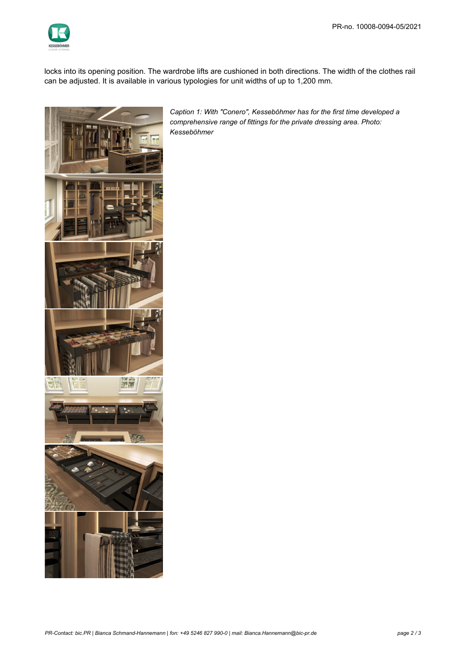

locks into its opening position. The wardrobe lifts are cushioned in both directions. The width of the clothes rail can be adjusted. It is available in various typologies for unit widths of up to 1,200 mm.



*Caption 1: With "Conero", Kesseböhmer has for the first time developed a comprehensive range of fittings for the private dressing area. Photo: Kesseböhmer*